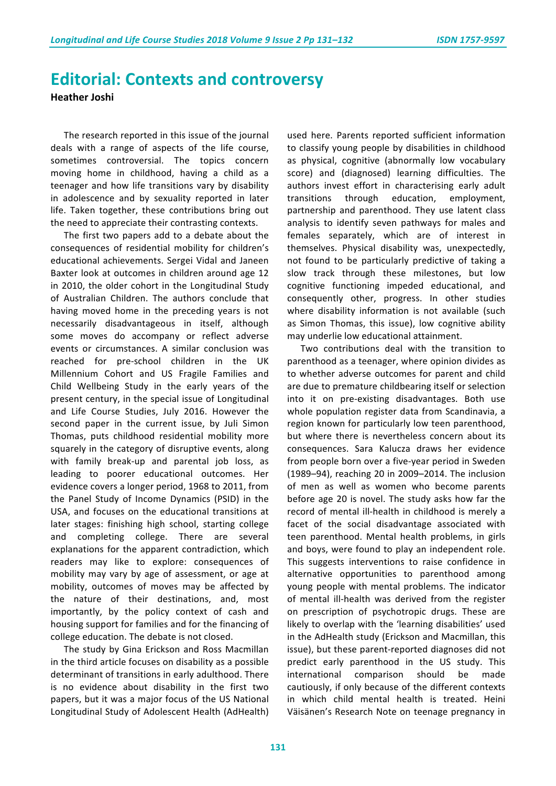## **Editorial: Contexts and controversy**

**Heather Joshi**

The research reported in this issue of the journal deals with a range of aspects of the life course, sometimes controversial. The topics concern moving home in childhood, having a child as a teenager and how life transitions vary by disability in adolescence and by sexuality reported in later life. Taken together, these contributions bring out the need to appreciate their contrasting contexts.

The first two papers add to a debate about the consequences of residential mobility for children's educational achievements. Sergei Vidal and Janeen Baxter look at outcomes in children around age 12 in 2010, the older cohort in the Longitudinal Study of Australian Children. The authors conclude that having moved home in the preceding years is not necessarily disadvantageous in itself, although some moves do accompany or reflect adverse events or circumstances. A similar conclusion was reached for pre-school children in the UK Millennium Cohort and US Fragile Families and Child Wellbeing Study in the early years of the present century, in the special issue of Longitudinal and Life Course Studies, July 2016. However the second paper in the current issue, by Juli Simon Thomas, puts childhood residential mobility more squarely in the category of disruptive events, along with family break-up and parental job loss, as leading to poorer educational outcomes. Her evidence covers a longer period, 1968 to 2011, from the Panel Study of Income Dynamics (PSID) in the USA, and focuses on the educational transitions at later stages: finishing high school, starting college and completing college. There are several explanations for the apparent contradiction, which readers may like to explore: consequences of mobility may vary by age of assessment, or age at mobility, outcomes of moves may be affected by the nature of their destinations, and, most importantly, by the policy context of cash and housing support for families and for the financing of college education. The debate is not closed.

The study by Gina Erickson and Ross Macmillan in the third article focuses on disability as a possible determinant of transitions in early adulthood. There is no evidence about disability in the first two papers, but it was a major focus of the US National Longitudinal Study of Adolescent Health (AdHealth)

used here. Parents reported sufficient information to classify young people by disabilities in childhood as physical, cognitive (abnormally low vocabulary score) and (diagnosed) learning difficulties. The authors invest effort in characterising early adult transitions through education, employment, partnership and parenthood. They use latent class analysis to identify seven pathways for males and females separately, which are of interest in themselves. Physical disability was, unexpectedly, not found to be particularly predictive of taking a slow track through these milestones, but low cognitive functioning impeded educational, and consequently other, progress. In other studies where disability information is not available (such as Simon Thomas, this issue), low cognitive ability may underlie low educational attainment.

Two contributions deal with the transition to parenthood as a teenager, where opinion divides as to whether adverse outcomes for parent and child are due to premature childbearing itself or selection into it on pre-existing disadvantages. Both use whole population register data from Scandinavia, a region known for particularly low teen parenthood, but where there is nevertheless concern about its consequences. Sara Kalucza draws her evidence from people born over a five-year period in Sweden (1989-94), reaching 20 in 2009-2014. The inclusion of men as well as women who become parents before age 20 is novel. The study asks how far the record of mental ill-health in childhood is merely a facet of the social disadvantage associated with teen parenthood. Mental health problems, in girls and boys, were found to play an independent role. This suggests interventions to raise confidence in alternative opportunities to parenthood among young people with mental problems. The indicator of mental ill-health was derived from the register on prescription of psychotropic drugs. These are likely to overlap with the 'learning disabilities' used in the AdHealth study (Erickson and Macmillan, this issue), but these parent-reported diagnoses did not predict early parenthood in the US study. This international comparison should be made cautiously, if only because of the different contexts in which child mental health is treated. Heini Väisänen's Research Note on teenage pregnancy in